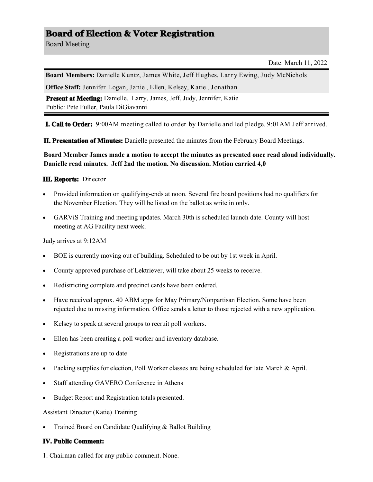# **Board of Election & Voter Registration**

Board Meeting

Date: March 11, 2022

**Board Members:** Danielle Kuntz, James White, Jeff Hughes, Larry Ewing, Judy McNichols

**Office Staff:** Jennifer Logan, Janie , Ellen, Kelsey, Katie , Jonathan

Present at Meeting: Danielle, Larry, James, Jeff, Judy, Jennifer, Katie Public: Pete Fuller, Paula DiGiavanni

**I. Call to Order:** 9:00AM meeting called to order by Danielle and led pledge. 9:01AM Jeff arrived.

**II. Presentation of Minutes:** Danielle presented the minutes from the February Board Meetings.

**Board Member James made a motion to accept the minutes as presented once read aloud individually. Danielle read minutes. Jeff 2nd the motion. No discussion. Motion carried 4,0** 

#### **III. Reports:** Director

- Provided information on qualifying-ends at noon. Several fire board positions had no qualifiers for the November Election. They will be listed on the ballot as write in only.
- GARViS Training and meeting updates. March 30th is scheduled launch date. County will host meeting at AG Facility next week.

Judy arrives at 9:12AM

- BOE is currently moving out of building. Scheduled to be out by 1st week in April.
- County approved purchase of Lektriever, will take about 25 weeks to receive.
- Redistricting complete and precinct cards have been ordered.
- Have received approx. 40 ABM apps for May Primary/Nonpartisan Election. Some have been rejected due to missing information. Office sends a letter to those rejected with a new application.
- Kelsey to speak at several groups to recruit poll workers.
- Ellen has been creating a poll worker and inventory database.
- Registrations are up to date
- Packing supplies for election, Poll Worker classes are being scheduled for late March & April.
- Staff attending GAVERO Conference in Athens
- Budget Report and Registration totals presented.

Assistant Director (Katie) Training

Trained Board on Candidate Qualifying & Ballot Building

## **IV. Public Comment:**

1. Chairman called for any public comment. None.